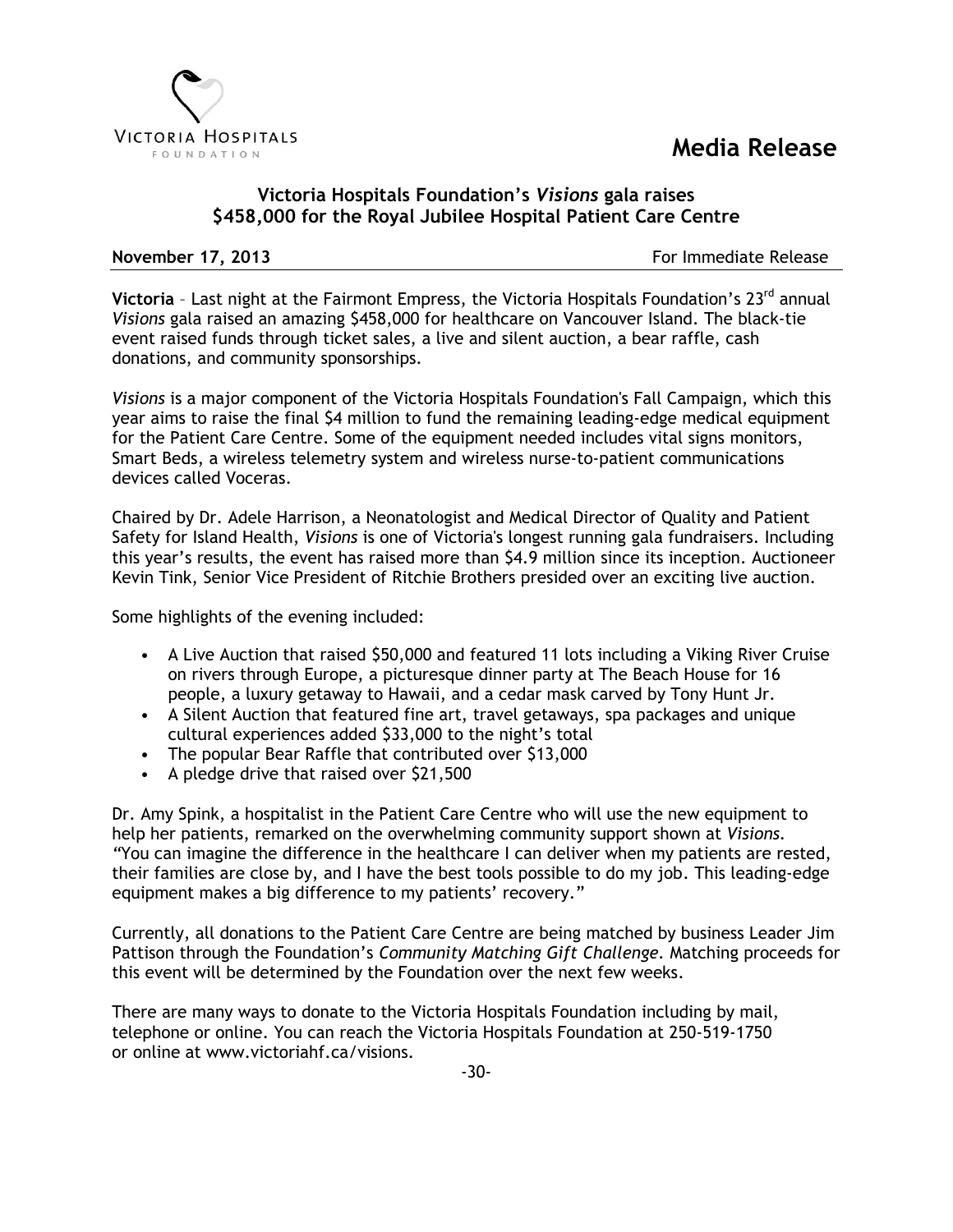## **Media Release**



## **Victoria Hospitals Foundation's** *Visions* **gala raises \$458,000 for the Royal Jubilee Hospital Patient Care Centre**

**November 17, 2013 For Immediate Release** 

**Victoria** - Last night at the Fairmont Empress, the Victoria Hospitals Foundation's 23<sup>rd</sup> annual *Visions* gala raised an amazing \$458,000 for healthcare on Vancouver Island. The black-tie event raised funds through ticket sales, a live and silent auction, a bear raffle, cash donations, and community sponsorships.

*Visions* is a major component of the Victoria Hospitals Foundation's Fall Campaign, which this year aims to raise the final \$4 million to fund the remaining leading-edge medical equipment for the Patient Care Centre. Some of the equipment needed includes vital signs monitors, Smart Beds, a wireless telemetry system and wireless nurse-to-patient communications devices called Voceras.

Chaired by Dr. Adele Harrison, a Neonatologist and Medical Director of Quality and Patient Safety for Island Health, *Visions* is one of Victoria's longest running gala fundraisers. Including this year's results, the event has raised more than \$4.9 million since its inception. Auctioneer Kevin Tink, Senior Vice President of Ritchie Brothers presided over an exciting live auction.

Some highlights of the evening included:

- A Live Auction that raised \$50,000 and featured 11 lots including a Viking River Cruise on rivers through Europe, a picturesque dinner party at The Beach House for 16 people, a luxury getaway to Hawaii, and a cedar mask carved by Tony Hunt Jr.
- A Silent Auction that featured fine art, travel getaways, spa packages and unique cultural experiences added \$33,000 to the night's total
- The popular Bear Raffle that contributed over \$13,000
- A pledge drive that raised over \$21,500

Dr. Amy Spink, a hospitalist in the Patient Care Centre who will use the new equipment to help her patients, remarked on the overwhelming community support shown at *Visions. "*You can imagine the difference in the healthcare I can deliver when my patients are rested, their families are close by, and I have the best tools possible to do my job. This leading-edge equipment makes a big difference to my patients' recovery."

Currently, all donations to the Patient Care Centre are being matched by business Leader Jim Pattison through the Foundation's *Community Matching Gift Challenge.* Matching proceeds for this event will be determined by the Foundation over the next few weeks.

There are many ways to donate to the Victoria Hospitals Foundation including by mail, telephone or online. You can reach the Victoria Hospitals Foundation at 250-519-1750 or online at www.victoriahf.ca/visions.